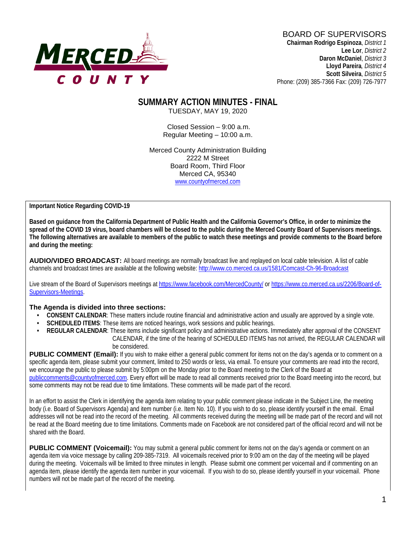

# BOARD OF SUPERVISORS

**Chairman Rodrigo Espinoza**, *District 1* **Lee Lor**, *District 2*  **Daron McDaniel**, *District 3* **Lloyd Pareira***, District 4*  **Scott Silveira**, *District 5* Phone: (209) 385-7366 Fax: (209) 726-7977

#### **SUMMARY ACTION MINUTES - FINAL** TUESDAY, MAY 19, 2020

Closed Session – 9:00 a.m. Regular Meeting – 10:00 a.m.

Merced County Administration Building 2222 M Street Board Room, Third Floor Merced CA, 95340 www.countyofmerced.com

**Important Notice Regarding COVID-19**

**Based on guidance from the California Department of Public Health and the California Governor's Office, in order to minimize the spread of the COVID 19 virus, board chambers will be closed to the public during the Merced County Board of Supervisors meetings. The following alternatives are available to members of the public to watch these meetings and provide comments to the Board before and during the meeting:**

**AUDIO/VIDEO BROADCAST:** All board meetings are normally broadcast live and replayed on local cable television. A list of cable channels and broadcast times are available at the following website[: http://www.co.merced.ca.us/1581/Comcast-Ch-96-Broadcast](http://www.co.merced.ca.us/1581/Comcast-Ch-96-Broadcast)

Live stream of the Board of Supervisors meetings at<https://www.facebook.com/MercedCounty/> o[r https://www.co.merced.ca.us/2206/Board-of-](https://www.co.merced.ca.us/2206/Board-of-Supervisors-Meetings)[Supervisors-Meetings.](https://www.co.merced.ca.us/2206/Board-of-Supervisors-Meetings)

#### **The Agenda is divided into three sections:**

- **CONSENT CALENDAR**: These matters include routine financial and administrative action and usually are approved by a single vote.
- **SCHEDULED ITEMS:** These items are noticed hearings, work sessions and public hearings.
- **REGULAR CALENDAR**: These items include significant policy and administrative actions. Immediately after approval of the CONSENT CALENDAR, if the time of the hearing of SCHEDULED ITEMS has not arrived, the REGULAR CALENDAR will be considered.

PUBLIC COMMENT (Email): If you wish to make either a general public comment for items not on the day's agenda or to comment on a specific agenda item, please submit your comment, limited to 250 words or less, via email. To ensure your comments are read into the record, we encourage the public to please submit by 5:00pm on the Monday prior to the Board meeting to the Clerk of the Board at [publiccomments@countyofmerced.com.](mailto:publiccomments@countyofmerced.com) Every effort will be made to read all comments received prior to the Board meeting into the record, but some comments may not be read due to time limitations. These comments will be made part of the record.

In an effort to assist the Clerk in identifying the agenda item relating to your public comment please indicate in the Subject Line, the meeting body (i.e. Board of Supervisors Agenda) and item number (i.e. Item No. 10). If you wish to do so, please identify yourself in the email. Email addresses will not be read into the record of the meeting. All comments received during the meeting will be made part of the record and will not be read at the Board meeting due to time limitations. Comments made on Facebook are not considered part of the official record and will not be shared with the Board.

**PUBLIC COMMENT (Voicemail):** You may submit a general public comment for items not on the day's agenda or comment on an agenda item via voice message by calling 209-385-7319. All voicemails received prior to 9:00 am on the day of the meeting will be played during the meeting. Voicemails will be limited to three minutes in length. Please submit one comment per voicemail and if commenting on an agenda item, please identify the agenda item number in your voicemail. If you wish to do so, please identify yourself in your voicemail. Phone numbers will not be made part of the record of the meeting.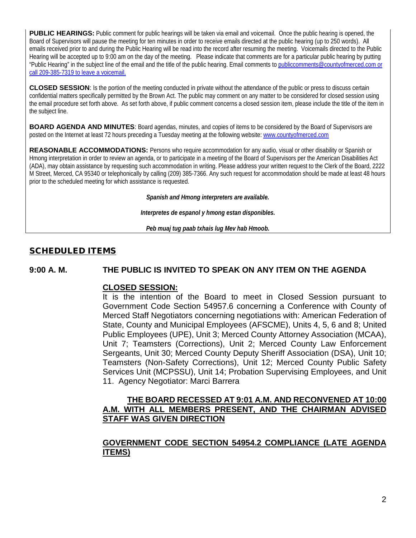**PUBLIC HEARINGS:** Public comment for public hearings will be taken via email and voicemail. Once the public hearing is opened, the Board of Supervisors will pause the meeting for ten minutes in order to receive emails directed at the public hearing (up to 250 words). All emails received prior to and during the Public Hearing will be read into the record after resuming the meeting. Voicemails directed to the Public Hearing will be accepted up to 9:00 am on the day of the meeting. Please indicate that comments are for a particular public hearing by putting "Public Hearing" in the subject line of the email and the title of the public hearing. Email comments t[o publiccomments@countyofmerced.com](mailto:publiccomments@countyofmerced.com) or call 209-385-7319 to leave a voicemail.

**CLOSED SESSION**: Is the portion of the meeting conducted in private without the attendance of the public or press to discuss certain confidential matters specifically permitted by the Brown Act. The public may comment on any matter to be considered for closed session using the email procedure set forth above. As set forth above, if public comment concerns a closed session item, please include the title of the item in the subject line.

**BOARD AGENDA AND MINUTES:** Board agendas, minutes, and copies of items to be considered by the Board of Supervisors are posted on the Internet at least 72 hours preceding a Tuesday meeting at the following website: www.countyofmerced.com

**REASONABLE ACCOMMODATIONS:** Persons who require accommodation for any audio, visual or other disability or Spanish or Hmong interpretation in order to review an agenda, or to participate in a meeting of the Board of Supervisors per the American Disabilities Act (ADA), may obtain assistance by requesting such accommodation in writing. Please address your written request to the Clerk of the Board, 2222 M Street, Merced, CA 95340 or telephonically by calling (209) 385-7366. Any such request for accommodation should be made at least 48 hours prior to the scheduled meeting for which assistance is requested.

*Spanish and Hmong interpreters are available.*

*Interpretes de espanol y hmong estan disponibles.*

*Peb muaj tug paab txhais lug Mev hab Hmoob.*

### SCHEDULED ITEMS

**9:00 A. M. THE PUBLIC IS INVITED TO SPEAK ON ANY ITEM ON THE AGENDA**

#### **CLOSED SESSION:**

It is the intention of the Board to meet in Closed Session pursuant to Government Code Section 54957.6 concerning a Conference with County of Merced Staff Negotiators concerning negotiations with: American Federation of State, County and Municipal Employees (AFSCME), Units 4, 5, 6 and 8; United Public Employees (UPE), Unit 3; Merced County Attorney Association (MCAA), Unit 7; Teamsters (Corrections), Unit 2; Merced County Law Enforcement Sergeants, Unit 30; Merced County Deputy Sheriff Association (DSA), Unit 10; Teamsters (Non-Safety Corrections), Unit 12; Merced County Public Safety Services Unit (MCPSSU), Unit 14; Probation Supervising Employees, and Unit 11. Agency Negotiator: Marci Barrera

#### **THE BOARD RECESSED AT 9:01 A.M. AND RECONVENED AT 10:00 A.M. WITH ALL MEMBERS PRESENT, AND THE CHAIRMAN ADVISED STAFF WAS GIVEN DIRECTION**

# **GOVERNMENT CODE SECTION 54954.2 COMPLIANCE (LATE AGENDA ITEMS)**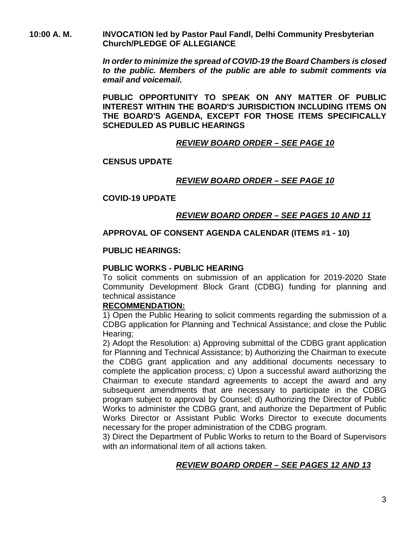**10:00 A. M. INVOCATION led by Pastor Paul Fandl, Delhi Community Presbyterian Church/PLEDGE OF ALLEGIANCE**

> *In order to minimize the spread of COVID-19 the Board Chambers is closed to the public. Members of the public are able to submit comments via email and voicemail.*

> **PUBLIC OPPORTUNITY TO SPEAK ON ANY MATTER OF PUBLIC INTEREST WITHIN THE BOARD'S JURISDICTION INCLUDING ITEMS ON THE BOARD'S AGENDA, EXCEPT FOR THOSE ITEMS SPECIFICALLY SCHEDULED AS PUBLIC HEARINGS**

### *REVIEW BOARD ORDER – SEE PAGE 10*

### **CENSUS UPDATE**

### *REVIEW BOARD ORDER – SEE PAGE 10*

#### **COVID-19 UPDATE**

# *REVIEW BOARD ORDER – SEE PAGES 10 AND 11*

#### **APPROVAL OF CONSENT AGENDA CALENDAR (ITEMS #1 - 10)**

#### **PUBLIC HEARINGS:**

#### **PUBLIC WORKS - PUBLIC HEARING**

To solicit comments on submission of an application for 2019-2020 State Community Development Block Grant (CDBG) funding for planning and technical assistance

#### **RECOMMENDATION:**

1) Open the Public Hearing to solicit comments regarding the submission of a CDBG application for Planning and Technical Assistance; and close the Public Hearing;

2) Adopt the Resolution: a) Approving submittal of the CDBG grant application for Planning and Technical Assistance; b) Authorizing the Chairman to execute the CDBG grant application and any additional documents necessary to complete the application process; c) Upon a successful award authorizing the Chairman to execute standard agreements to accept the award and any subsequent amendments that are necessary to participate in the CDBG program subject to approval by Counsel; d) Authorizing the Director of Public Works to administer the CDBG grant, and authorize the Department of Public Works Director or Assistant Public Works Director to execute documents necessary for the proper administration of the CDBG program.

3) Direct the Department of Public Works to return to the Board of Supervisors with an informational item of all actions taken.

# *REVIEW BOARD ORDER – SEE PAGES 12 AND 13*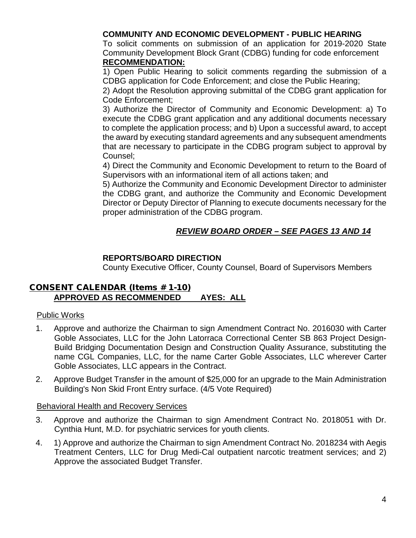# **COMMUNITY AND ECONOMIC DEVELOPMENT - PUBLIC HEARING**

To solicit comments on submission of an application for 2019-2020 State Community Development Block Grant (CDBG) funding for code enforcement **RECOMMENDATION:**

1) Open Public Hearing to solicit comments regarding the submission of a CDBG application for Code Enforcement; and close the Public Hearing;

2) Adopt the Resolution approving submittal of the CDBG grant application for Code Enforcement;

3) Authorize the Director of Community and Economic Development: a) To execute the CDBG grant application and any additional documents necessary to complete the application process; and b) Upon a successful award, to accept the award by executing standard agreements and any subsequent amendments that are necessary to participate in the CDBG program subject to approval by Counsel;

4) Direct the Community and Economic Development to return to the Board of Supervisors with an informational item of all actions taken; and

5) Authorize the Community and Economic Development Director to administer the CDBG grant, and authorize the Community and Economic Development Director or Deputy Director of Planning to execute documents necessary for the proper administration of the CDBG program.

# *REVIEW BOARD ORDER – SEE PAGES 13 AND 14*

#### **REPORTS/BOARD DIRECTION**

County Executive Officer, County Counsel, Board of Supervisors Members

#### CONSENT CALENDAR (Items # 1-10) **APPROVED AS RECOMMENDED AYES: ALL**

#### Public Works

- 1. Approve and authorize the Chairman to sign Amendment Contract No. 2016030 with Carter Goble Associates, LLC for the John Latorraca Correctional Center SB 863 Project Design-Build Bridging Documentation Design and Construction Quality Assurance, substituting the name CGL Companies, LLC, for the name Carter Goble Associates, LLC wherever Carter Goble Associates, LLC appears in the Contract.
- 2. Approve Budget Transfer in the amount of \$25,000 for an upgrade to the Main Administration Building's Non Skid Front Entry surface. (4/5 Vote Required)

#### Behavioral Health and Recovery Services

- 3. Approve and authorize the Chairman to sign Amendment Contract No. 2018051 with Dr. Cynthia Hunt, M.D. for psychiatric services for youth clients.
- 4. 1) Approve and authorize the Chairman to sign Amendment Contract No. 2018234 with Aegis Treatment Centers, LLC for Drug Medi-Cal outpatient narcotic treatment services; and 2) Approve the associated Budget Transfer.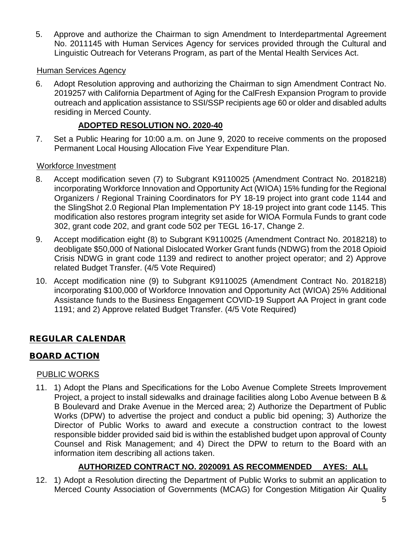5. Approve and authorize the Chairman to sign Amendment to Interdepartmental Agreement No. 2011145 with Human Services Agency for services provided through the Cultural and Linguistic Outreach for Veterans Program, as part of the Mental Health Services Act.

### Human Services Agency

6. Adopt Resolution approving and authorizing the Chairman to sign Amendment Contract No. 2019257 with California Department of Aging for the CalFresh Expansion Program to provide outreach and application assistance to SSI/SSP recipients age 60 or older and disabled adults residing in Merced County.

### **ADOPTED RESOLUTION NO. 2020-40**

7. Set a Public Hearing for 10:00 a.m. on June 9, 2020 to receive comments on the proposed Permanent Local Housing Allocation Five Year Expenditure Plan.

### Workforce Investment

- 8. Accept modification seven (7) to Subgrant K9110025 (Amendment Contract No. 2018218) incorporating Workforce Innovation and Opportunity Act (WIOA) 15% funding for the Regional Organizers / Regional Training Coordinators for PY 18-19 project into grant code 1144 and the SlingShot 2.0 Regional Plan Implementation PY 18-19 project into grant code 1145. This modification also restores program integrity set aside for WIOA Formula Funds to grant code 302, grant code 202, and grant code 502 per TEGL 16-17, Change 2.
- 9. Accept modification eight (8) to Subgrant K9110025 (Amendment Contract No. 2018218) to deobligate \$50,000 of National Dislocated Worker Grant funds (NDWG) from the 2018 Opioid Crisis NDWG in grant code 1139 and redirect to another project operator; and 2) Approve related Budget Transfer. (4/5 Vote Required)
- 10. Accept modification nine (9) to Subgrant K9110025 (Amendment Contract No. 2018218) incorporating \$100,000 of Workforce Innovation and Opportunity Act (WIOA) 25% Additional Assistance funds to the Business Engagement COVID-19 Support AA Project in grant code 1191; and 2) Approve related Budget Transfer. (4/5 Vote Required)

# REGULAR CALENDAR

# BOARD ACTION

#### PUBLIC WORKS

11. 1) Adopt the Plans and Specifications for the Lobo Avenue Complete Streets Improvement Project, a project to install sidewalks and drainage facilities along Lobo Avenue between B & B Boulevard and Drake Avenue in the Merced area; 2) Authorize the Department of Public Works (DPW) to advertise the project and conduct a public bid opening; 3) Authorize the Director of Public Works to award and execute a construction contract to the lowest responsible bidder provided said bid is within the established budget upon approval of County Counsel and Risk Management; and 4) Direct the DPW to return to the Board with an information item describing all actions taken.

# **AUTHORIZED CONTRACT NO. 2020091 AS RECOMMENDED AYES: ALL**

12. 1) Adopt a Resolution directing the Department of Public Works to submit an application to Merced County Association of Governments (MCAG) for Congestion Mitigation Air Quality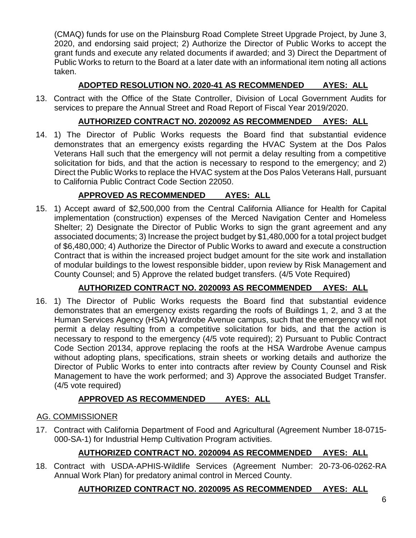(CMAQ) funds for use on the Plainsburg Road Complete Street Upgrade Project, by June 3, 2020, and endorsing said project; 2) Authorize the Director of Public Works to accept the grant funds and execute any related documents if awarded; and 3) Direct the Department of Public Works to return to the Board at a later date with an informational item noting all actions taken.

# **ADOPTED RESOLUTION NO. 2020-41 AS RECOMMENDED AYES: ALL**

13. Contract with the Office of the State Controller, Division of Local Government Audits for services to prepare the Annual Street and Road Report of Fiscal Year 2019/2020.

# **AUTHORIZED CONTRACT NO. 2020092 AS RECOMMENDED AYES: ALL**

14. 1) The Director of Public Works requests the Board find that substantial evidence demonstrates that an emergency exists regarding the HVAC System at the Dos Palos Veterans Hall such that the emergency will not permit a delay resulting from a competitive solicitation for bids, and that the action is necessary to respond to the emergency; and 2) Direct the Public Works to replace the HVAC system at the Dos Palos Veterans Hall, pursuant to California Public Contract Code Section 22050.

# **APPROVED AS RECOMMENDED AYES: ALL**

15. 1) Accept award of \$2,500,000 from the Central California Alliance for Health for Capital implementation (construction) expenses of the Merced Navigation Center and Homeless Shelter; 2) Designate the Director of Public Works to sign the grant agreement and any associated documents; 3) Increase the project budget by \$1,480,000 for a total project budget of \$6,480,000; 4) Authorize the Director of Public Works to award and execute a construction Contract that is within the increased project budget amount for the site work and installation of modular buildings to the lowest responsible bidder, upon review by Risk Management and County Counsel; and 5) Approve the related budget transfers. (4/5 Vote Required)

# **AUTHORIZED CONTRACT NO. 2020093 AS RECOMMENDED AYES: ALL**

16. 1) The Director of Public Works requests the Board find that substantial evidence demonstrates that an emergency exists regarding the roofs of Buildings 1, 2, and 3 at the Human Services Agency (HSA) Wardrobe Avenue campus, such that the emergency will not permit a delay resulting from a competitive solicitation for bids, and that the action is necessary to respond to the emergency (4/5 vote required); 2) Pursuant to Public Contract Code Section 20134, approve replacing the roofs at the HSA Wardrobe Avenue campus without adopting plans, specifications, strain sheets or working details and authorize the Director of Public Works to enter into contracts after review by County Counsel and Risk Management to have the work performed; and 3) Approve the associated Budget Transfer. (4/5 vote required)

# **APPROVED AS RECOMMENDED AYES: ALL**

# AG. COMMISSIONER

17. Contract with California Department of Food and Agricultural (Agreement Number 18-0715- 000-SA-1) for Industrial Hemp Cultivation Program activities.

# **AUTHORIZED CONTRACT NO. 2020094 AS RECOMMENDED AYES: ALL**

18. Contract with USDA-APHIS-Wildlife Services (Agreement Number: 20-73-06-0262-RA Annual Work Plan) for predatory animal control in Merced County.

# **AUTHORIZED CONTRACT NO. 2020095 AS RECOMMENDED AYES: ALL**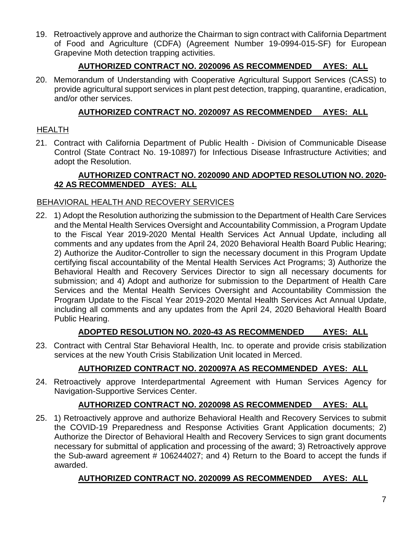19. Retroactively approve and authorize the Chairman to sign contract with California Department of Food and Agriculture (CDFA) (Agreement Number 19-0994-015-SF) for European Grapevine Moth detection trapping activities.

# **AUTHORIZED CONTRACT NO. 2020096 AS RECOMMENDED AYES: ALL**

20. Memorandum of Understanding with Cooperative Agricultural Support Services (CASS) to provide agricultural support services in plant pest detection, trapping, quarantine, eradication, and/or other services.

# **AUTHORIZED CONTRACT NO. 2020097 AS RECOMMENDED AYES: ALL**

# **HEALTH**

21. Contract with California Department of Public Health - Division of Communicable Disease Control (State Contract No. 19-10897) for Infectious Disease Infrastructure Activities; and adopt the Resolution.

# **AUTHORIZED CONTRACT NO. 2020090 AND ADOPTED RESOLUTION NO. 2020- 42 AS RECOMMENDED AYES: ALL**

# BEHAVIORAL HEALTH AND RECOVERY SERVICES

22. 1) Adopt the Resolution authorizing the submission to the Department of Health Care Services and the Mental Health Services Oversight and Accountability Commission, a Program Update to the Fiscal Year 2019-2020 Mental Health Services Act Annual Update, including all comments and any updates from the April 24, 2020 Behavioral Health Board Public Hearing; 2) Authorize the Auditor-Controller to sign the necessary document in this Program Update certifying fiscal accountability of the Mental Health Services Act Programs; 3) Authorize the Behavioral Health and Recovery Services Director to sign all necessary documents for submission; and 4) Adopt and authorize for submission to the Department of Health Care Services and the Mental Health Services Oversight and Accountability Commission the Program Update to the Fiscal Year 2019-2020 Mental Health Services Act Annual Update, including all comments and any updates from the April 24, 2020 Behavioral Health Board Public Hearing.

# **ADOPTED RESOLUTION NO. 2020-43 AS RECOMMENDED AYES: ALL**

23. Contract with Central Star Behavioral Health, Inc. to operate and provide crisis stabilization services at the new Youth Crisis Stabilization Unit located in Merced.

# **AUTHORIZED CONTRACT NO. 2020097A AS RECOMMENDED AYES: ALL**

24. Retroactively approve Interdepartmental Agreement with Human Services Agency for Navigation-Supportive Services Center.

# **AUTHORIZED CONTRACT NO. 2020098 AS RECOMMENDED AYES: ALL**

25. 1) Retroactively approve and authorize Behavioral Health and Recovery Services to submit the COVID-19 Preparedness and Response Activities Grant Application documents; 2) Authorize the Director of Behavioral Health and Recovery Services to sign grant documents necessary for submittal of application and processing of the award; 3) Retroactively approve the Sub-award agreement # 106244027; and 4) Return to the Board to accept the funds if awarded.

# **AUTHORIZED CONTRACT NO. 2020099 AS RECOMMENDED AYES: ALL**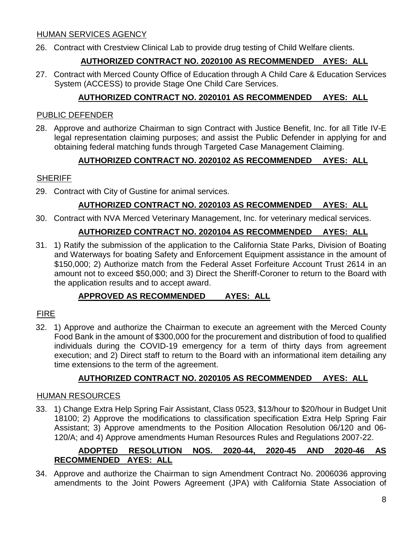### HUMAN SERVICES AGENCY

26. Contract with Crestview Clinical Lab to provide drug testing of Child Welfare clients.

# **AUTHORIZED CONTRACT NO. 2020100 AS RECOMMENDED AYES: ALL**

27. Contract with Merced County Office of Education through A Child Care & Education Services System (ACCESS) to provide Stage One Child Care Services.

# **AUTHORIZED CONTRACT NO. 2020101 AS RECOMMENDED AYES: ALL**

### PUBLIC DEFENDER

28. Approve and authorize Chairman to sign Contract with Justice Benefit, Inc. for all Title IV-E legal representation claiming purposes; and assist the Public Defender in applying for and obtaining federal matching funds through Targeted Case Management Claiming.

# **AUTHORIZED CONTRACT NO. 2020102 AS RECOMMENDED AYES: ALL**

### **SHERIFF**

29. Contract with City of Gustine for animal services.

# **AUTHORIZED CONTRACT NO. 2020103 AS RECOMMENDED AYES: ALL**

30. Contract with NVA Merced Veterinary Management, Inc. for veterinary medical services.

# **AUTHORIZED CONTRACT NO. 2020104 AS RECOMMENDED AYES: ALL**

31. 1) Ratify the submission of the application to the California State Parks, Division of Boating and Waterways for boating Safety and Enforcement Equipment assistance in the amount of \$150,000; 2) Authorize match from the Federal Asset Forfeiture Account Trust 2614 in an amount not to exceed \$50,000; and 3) Direct the Sheriff-Coroner to return to the Board with the application results and to accept award.

# **APPROVED AS RECOMMENDED AYES: ALL**

# FIRE

32. 1) Approve and authorize the Chairman to execute an agreement with the Merced County Food Bank in the amount of \$300,000 for the procurement and distribution of food to qualified individuals during the COVID-19 emergency for a term of thirty days from agreement execution; and 2) Direct staff to return to the Board with an informational item detailing any time extensions to the term of the agreement.

# **AUTHORIZED CONTRACT NO. 2020105 AS RECOMMENDED AYES: ALL**

#### HUMAN RESOURCES

33. 1) Change Extra Help Spring Fair Assistant, Class 0523, \$13/hour to \$20/hour in Budget Unit 18100; 2) Approve the modifications to classification specification Extra Help Spring Fair Assistant; 3) Approve amendments to the Position Allocation Resolution 06/120 and 06- 120/A; and 4) Approve amendments Human Resources Rules and Regulations 2007-22.

# **ADOPTED RESOLUTION NOS. 2020-44, 2020-45 AND 2020-46 AS RECOMMENDED AYES: ALL**

34. Approve and authorize the Chairman to sign Amendment Contract No. 2006036 approving amendments to the Joint Powers Agreement (JPA) with California State Association of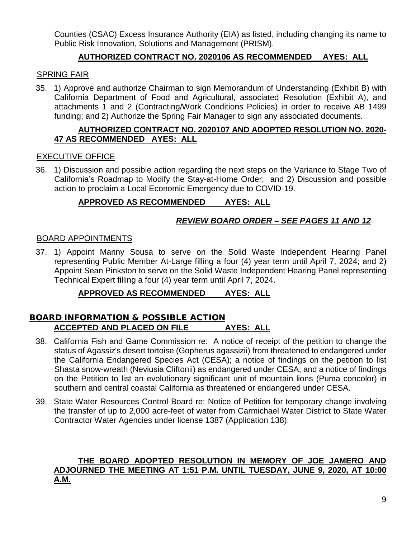Counties (CSAC) Excess Insurance Authority (EIA) as listed, including changing its name to Public Risk Innovation, Solutions and Management (PRISM).

# **AUTHORIZED CONTRACT NO. 2020106 AS RECOMMENDED AYES: ALL**

#### SPRING FAIR

35. 1) Approve and authorize Chairman to sign Memorandum of Understanding (Exhibit B) with California Department of Food and Agricultural, associated Resolution (Exhibit A), and attachments 1 and 2 (Contracting/Work Conditions Policies) in order to receive AB 1499 funding; and 2) Authorize the Spring Fair Manager to sign any associated documents.

#### **AUTHORIZED CONTRACT NO. 2020107 AND ADOPTED RESOLUTION NO. 2020- 47 AS RECOMMENDED AYES: ALL**

### EXECUTIVE OFFICE

36. 1) Discussion and possible action regarding the next steps on the Variance to Stage Two of California's Roadmap to Modify the Stay-at-Home Order; and 2) Discussion and possible action to proclaim a Local Economic Emergency due to COVID-19.

# **APPROVED AS RECOMMENDED AYES: ALL**

# *REVIEW BOARD ORDER – SEE PAGES 11 AND 12*

### BOARD APPOINTMENTS

37. 1) Appoint Manny Sousa to serve on the Solid Waste Independent Hearing Panel representing Public Member At-Large filling a four (4) year term until April 7, 2024; and 2) Appoint Sean Pinkston to serve on the Solid Waste Independent Hearing Panel representing Technical Expert filling a four (4) year term until April 7, 2024.

# **APPROVED AS RECOMMENDED AYES: ALL**

# BOARD INFORMATION & POSSIBLE ACTION **ACCEPTED AND PLACED ON FILE AYES: ALL**

- 38. California Fish and Game Commission re: A notice of receipt of the petition to change the status of Agassiz's desert tortoise (Gopherus agassizii) from threatened to endangered under the California Endangered Species Act (CESA); a notice of findings on the petition to list Shasta snow-wreath (Neviusia Cliftonii) as endangered under CESA; and a notice of findings on the Petition to list an evolutionary significant unit of mountain lions (Puma concolor) in southern and central coastal California as threatened or endangered under CESA.
- 39. State Water Resources Control Board re: Notice of Petition for temporary change involving the transfer of up to 2,000 acre-feet of water from Carmichael Water District to State Water Contractor Water Agencies under license 1387 (Application 138).

#### **THE BOARD ADOPTED RESOLUTION IN MEMORY OF JOE JAMERO AND ADJOURNED THE MEETING AT 1:51 P.M. UNTIL TUESDAY, JUNE 9, 2020, AT 10:00 A.M.**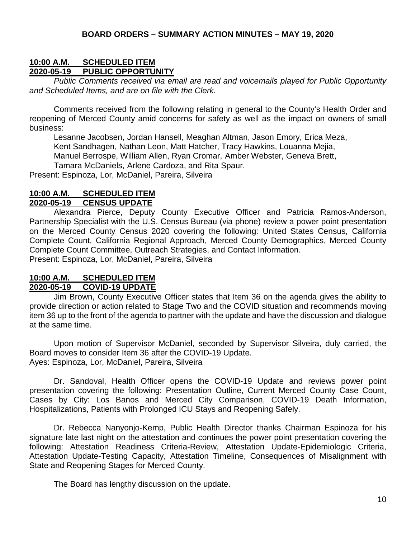### **10:00 A.M. SCHEDULED ITEM 2020-05-19 PUBLIC OPPORTUNITY**

*Public Comments received via email are read and voicemails played for Public Opportunity and Scheduled Items, and are on file with the Clerk.*

Comments received from the following relating in general to the County's Health Order and reopening of Merced County amid concerns for safety as well as the impact on owners of small business:

Lesanne Jacobsen, Jordan Hansell, Meaghan Altman, Jason Emory, Erica Meza, Kent Sandhagen, Nathan Leon, Matt Hatcher, Tracy Hawkins, Louanna Mejia, Manuel Berrospe, William Allen, Ryan Cromar, Amber Webster, Geneva Brett, Tamara McDaniels, Arlene Cardoza, and Rita Spaur.

Present: Espinoza, Lor, McDaniel, Pareira, Silveira

#### **10:00 A.M. SCHEDULED ITEM 2020-05-19 CENSUS UPDATE**

Alexandra Pierce, Deputy County Executive Officer and Patricia Ramos-Anderson, Partnership Specialist with the U.S. Census Bureau (via phone) review a power point presentation on the Merced County Census 2020 covering the following: United States Census, California Complete Count, California Regional Approach, Merced County Demographics, Merced County Complete Count Committee, Outreach Strategies, and Contact Information. Present: Espinoza, Lor, McDaniel, Pareira, Silveira

#### **10:00 A.M. SCHEDULED ITEM 2020-05-19 COVID-19 UPDATE**

Jim Brown, County Executive Officer states that Item 36 on the agenda gives the ability to provide direction or action related to Stage Two and the COVID situation and recommends moving item 36 up to the front of the agenda to partner with the update and have the discussion and dialogue at the same time.

Upon motion of Supervisor McDaniel, seconded by Supervisor Silveira, duly carried, the Board moves to consider Item 36 after the COVID-19 Update. Ayes: Espinoza, Lor, McDaniel, Pareira, Silveira

Dr. Sandoval, Health Officer opens the COVID-19 Update and reviews power point presentation covering the following: Presentation Outline, Current Merced County Case Count, Cases by City: Los Banos and Merced City Comparison, COVID-19 Death Information, Hospitalizations, Patients with Prolonged ICU Stays and Reopening Safely.

Dr. Rebecca Nanyonjo-Kemp, Public Health Director thanks Chairman Espinoza for his signature late last night on the attestation and continues the power point presentation covering the following: Attestation Readiness Criteria-Review, Attestation Update-Epidemiologic Criteria, Attestation Update-Testing Capacity, Attestation Timeline, Consequences of Misalignment with State and Reopening Stages for Merced County.

The Board has lengthy discussion on the update.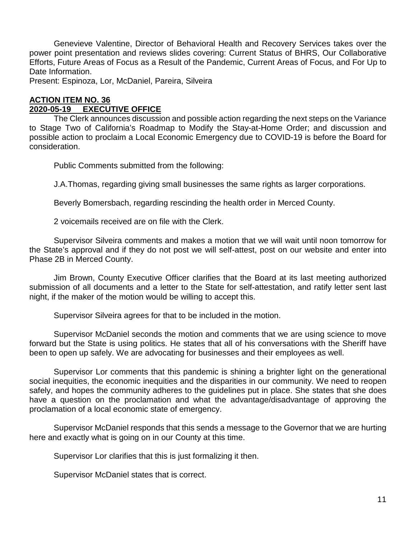Genevieve Valentine, Director of Behavioral Health and Recovery Services takes over the power point presentation and reviews slides covering: Current Status of BHRS, Our Collaborative Efforts, Future Areas of Focus as a Result of the Pandemic, Current Areas of Focus, and For Up to Date Information.

Present: Espinoza, Lor, McDaniel, Pareira, Silveira

#### **ACTION ITEM NO. 36 2020 EXECUTIVE OFFICE**

The Clerk announces discussion and possible action regarding the next steps on the Variance to Stage Two of California's Roadmap to Modify the Stay-at-Home Order; and discussion and possible action to proclaim a Local Economic Emergency due to COVID-19 is before the Board for consideration.

Public Comments submitted from the following:

J.A.Thomas, regarding giving small businesses the same rights as larger corporations.

Beverly Bomersbach, regarding rescinding the health order in Merced County.

2 voicemails received are on file with the Clerk.

Supervisor Silveira comments and makes a motion that we will wait until noon tomorrow for the State's approval and if they do not post we will self-attest, post on our website and enter into Phase 2B in Merced County.

Jim Brown, County Executive Officer clarifies that the Board at its last meeting authorized submission of all documents and a letter to the State for self-attestation, and ratify letter sent last night, if the maker of the motion would be willing to accept this.

Supervisor Silveira agrees for that to be included in the motion.

Supervisor McDaniel seconds the motion and comments that we are using science to move forward but the State is using politics. He states that all of his conversations with the Sheriff have been to open up safely. We are advocating for businesses and their employees as well.

Supervisor Lor comments that this pandemic is shining a brighter light on the generational social inequities, the economic inequities and the disparities in our community. We need to reopen safely, and hopes the community adheres to the guidelines put in place. She states that she does have a question on the proclamation and what the advantage/disadvantage of approving the proclamation of a local economic state of emergency.

Supervisor McDaniel responds that this sends a message to the Governor that we are hurting here and exactly what is going on in our County at this time.

Supervisor Lor clarifies that this is just formalizing it then.

Supervisor McDaniel states that is correct.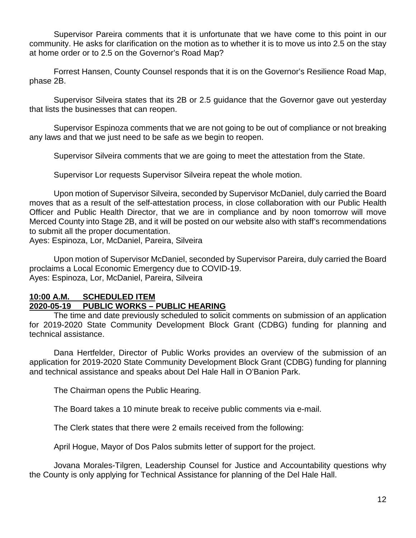Supervisor Pareira comments that it is unfortunate that we have come to this point in our community. He asks for clarification on the motion as to whether it is to move us into 2.5 on the stay at home order or to 2.5 on the Governor's Road Map?

Forrest Hansen, County Counsel responds that it is on the Governor's Resilience Road Map, phase 2B.

Supervisor Silveira states that its 2B or 2.5 guidance that the Governor gave out yesterday that lists the businesses that can reopen.

Supervisor Espinoza comments that we are not going to be out of compliance or not breaking any laws and that we just need to be safe as we begin to reopen.

Supervisor Silveira comments that we are going to meet the attestation from the State.

Supervisor Lor requests Supervisor Silveira repeat the whole motion.

Upon motion of Supervisor Silveira, seconded by Supervisor McDaniel, duly carried the Board moves that as a result of the self-attestation process, in close collaboration with our Public Health Officer and Public Health Director, that we are in compliance and by noon tomorrow will move Merced County into Stage 2B, and it will be posted on our website also with staff's recommendations to submit all the proper documentation.

Ayes: Espinoza, Lor, McDaniel, Pareira, Silveira

Upon motion of Supervisor McDaniel, seconded by Supervisor Pareira, duly carried the Board proclaims a Local Economic Emergency due to COVID-19. Ayes: Espinoza, Lor, McDaniel, Pareira, Silveira

### **10:00 A.M. SCHEDULED ITEM 2020-05-19 PUBLIC WORKS – PUBLIC HEARING**

The time and date previously scheduled to solicit comments on submission of an application for 2019-2020 State Community Development Block Grant (CDBG) funding for planning and technical assistance.

Dana Hertfelder, Director of Public Works provides an overview of the submission of an application for 2019-2020 State Community Development Block Grant (CDBG) funding for planning and technical assistance and speaks about Del Hale Hall in O'Banion Park.

The Chairman opens the Public Hearing.

The Board takes a 10 minute break to receive public comments via e-mail.

The Clerk states that there were 2 emails received from the following:

April Hogue, Mayor of Dos Palos submits letter of support for the project.

Jovana Morales-Tilgren, Leadership Counsel for Justice and Accountability questions why the County is only applying for Technical Assistance for planning of the Del Hale Hall.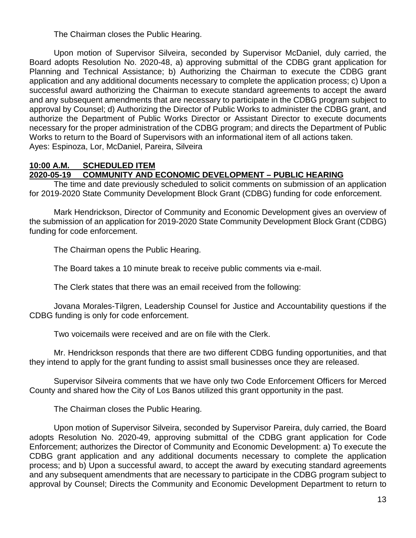The Chairman closes the Public Hearing.

Upon motion of Supervisor Silveira, seconded by Supervisor McDaniel, duly carried, the Board adopts Resolution No. 2020-48, a) approving submittal of the CDBG grant application for Planning and Technical Assistance; b) Authorizing the Chairman to execute the CDBG grant application and any additional documents necessary to complete the application process; c) Upon a successful award authorizing the Chairman to execute standard agreements to accept the award and any subsequent amendments that are necessary to participate in the CDBG program subject to approval by Counsel; d) Authorizing the Director of Public Works to administer the CDBG grant, and authorize the Department of Public Works Director or Assistant Director to execute documents necessary for the proper administration of the CDBG program; and directs the Department of Public Works to return to the Board of Supervisors with an informational item of all actions taken. Ayes: Espinoza, Lor, McDaniel, Pareira, Silveira

#### **10:00 A.M. SCHEDULED ITEM 2020-05-19 COMMUNITY AND ECONOMIC DEVELOPMENT – PUBLIC HEARING**

The time and date previously scheduled to solicit comments on submission of an application for 2019-2020 State Community Development Block Grant (CDBG) funding for code enforcement.

Mark Hendrickson, Director of Community and Economic Development gives an overview of the submission of an application for 2019-2020 State Community Development Block Grant (CDBG) funding for code enforcement.

The Chairman opens the Public Hearing.

The Board takes a 10 minute break to receive public comments via e-mail.

The Clerk states that there was an email received from the following:

Jovana Morales-Tilgren, Leadership Counsel for Justice and Accountability questions if the CDBG funding is only for code enforcement.

Two voicemails were received and are on file with the Clerk.

Mr. Hendrickson responds that there are two different CDBG funding opportunities, and that they intend to apply for the grant funding to assist small businesses once they are released.

Supervisor Silveira comments that we have only two Code Enforcement Officers for Merced County and shared how the City of Los Banos utilized this grant opportunity in the past.

The Chairman closes the Public Hearing.

Upon motion of Supervisor Silveira, seconded by Supervisor Pareira, duly carried, the Board adopts Resolution No. 2020-49, approving submittal of the CDBG grant application for Code Enforcement; authorizes the Director of Community and Economic Development: a) To execute the CDBG grant application and any additional documents necessary to complete the application process; and b) Upon a successful award, to accept the award by executing standard agreements and any subsequent amendments that are necessary to participate in the CDBG program subject to approval by Counsel; Directs the Community and Economic Development Department to return to